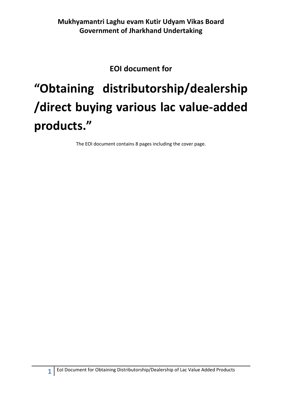## **EOI document for**

# **"Obtaining distributorship/dealership /direct buying various lac value-added products."**

The EOI document contains 8 pages including the cover page.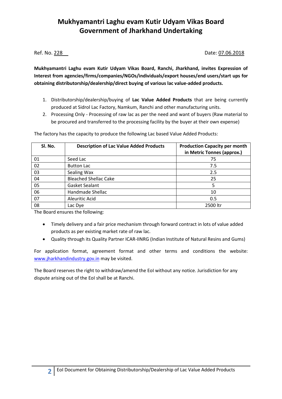Ref. No. 228 2018

**Mukhyamantri Laghu evam Kutir Udyam Vikas Board, Ranchi, Jharkhand, invites Expression of Interest from agencies/firms/companies/NGOs/individuals/export houses/end users/start ups for obtaining distributorship/dealership/direct buying of various lac value-added products.**

- 1. Distributorship/dealership/buying of **Lac Value Added Products** that are being currently produced at Sidrol Lac Factory, Namkum, Ranchi and other manufacturing units.
- 2. Processing Only Processing of raw lac as per the need and want of buyers (Raw material to be procured and transferred to the processing facility by the buyer at their own expense)

| SI. No. | <b>Description of Lac Value Added Products</b> | <b>Production Capacity per month</b><br>in Metric Tonnes (approx.) |
|---------|------------------------------------------------|--------------------------------------------------------------------|
| 01      | Seed Lac                                       | 75                                                                 |
| 02      | <b>Button Lac</b>                              | 7.5                                                                |
| 03      | Sealing Wax                                    | 2.5                                                                |
| 04      | <b>Bleached Shellac Cake</b>                   | 25                                                                 |
| 05      | Gasket Sealant                                 | 5                                                                  |
| 06      | Handmade Shellac                               | 10                                                                 |
| 07      | Aleuritic Acid                                 | 0.5                                                                |
| 08      | Lac Dye                                        | 2500 ltr                                                           |

The factory has the capacity to produce the following Lac based Value Added Products:

The Board ensures the following:

- Timely delivery and a fair price mechanism through forward contract in lots of value added products as per existing market rate of raw lac.
- Quality through its Quality Partner ICAR-IINRG (Indian Institute of Natural Resins and Gums)

For application format, agreement format and other terms and conditions the website: [www.jharkhandindustry.gov.in](http://www.jharkhandindustry.gov.in/) may be visited.

The Board reserves the right to withdraw/amend the EoI without any notice. Jurisdiction for any dispute arising out of the EoI shall be at Ranchi.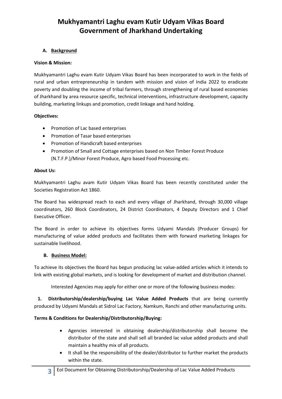### **A. Background**

#### **Vision & Mission:**

Mukhyamantri Laghu evam Kutir Udyam Vikas Board has been incorporated to work in the fields of rural and urban entrepreneurship in tandem with mission and vision of India 2022 to eradicate poverty and doubling the income of tribal farmers, through strengthening of rural based economies of Jharkhand by area resource specific, technical interventions, infrastructure development, capacity building, marketing linkups and promotion, credit linkage and hand holding.

#### **Objectives:**

- Promotion of Lac based enterprises
- Promotion of Tasar based enterprises
- Promotion of Handicraft based enterprises
- Promotion of Small and Cottage enterprises based on Non Timber Forest Produce (N.T.F.P.)/Minor Forest Produce, Agro based Food Processing etc.

#### **About Us:**

Mukhyamantri Laghu avam Kutir Udyam Vikas Board has been recently constituted under the Societies Registration Act 1860.

The Board has widespread reach to each and every village of Jharkhand, through 30,000 village coordinators, 260 Block Coordinators, 24 District Coordinators, 4 Deputy Directors and 1 Chief Executive Officer.

The Board in order to achieve its objectives forms Udyami Mandals (Producer Groups) for manufacturing of value added products and facilitates them with forward marketing linkages for sustainable livelihood.

#### **B. Business Model:**

To achieve its objectives the Board has begun producing lac value-added articles which it intends to link with existing global markets, and is looking for development of market and distribution channel.

Interested Agencies may apply for either one or more of the following business modes:

 **1. Distributorship/dealership/buying Lac Value Added Products** that are being currently produced by Udyami Mandals at Sidrol Lac Factory, Namkum, Ranchi and other manufacturing units.

#### **Terms & Conditions for Dealership/Distributorship/Buying:**

- Agencies interested in obtaining dealership/distributorship shall become the distributor of the state and shall sell all branded lac value added products and shall maintain a healthy mix of all products.
- It shall be the responsibility of the dealer/distributor to further market the products within the state.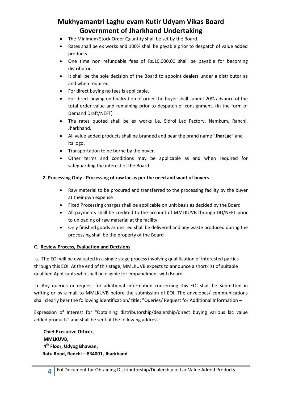- The Minimum Stock Order Quantity shall be set by the Board.
- Rates shall be ex works and 100% shall be payable prior to despatch of value added products.
- One time non refundable fees of Rs.10,000.00 shall be payable for becoming distributor.
- It shall be the sole decision of the Board to appoint dealers under a distributor as and when required.
- For direct buying no fees is applicable.
- For direct buying on finalization of order the buyer shall submit 20% advance of the total order value and remaining prior to despatch of consignment. (In the form of Demand Draft/NEFT)
- The rates quoted shall be ex works i.e. Sidrol Lac Factory, Namkum, Ranchi, Jharkhand.
- All value added products shall be branded and bear the brand name **"JharLac"** and its logo.
- Transportation to be borne by the buyer.
- Other terms and conditions may be applicable as and when required for safeguarding the interest of the Board

#### **2. Processing Only - Processing of raw lac as per the need and want of buyers**

- Raw material to be procured and transferred to the processing facility by the buyer at their own expense
- Fixed Processing charges shall be applicable on unit basis as decided by the Board
- All payments shall be credited to the account of MMLKUVB through DD/NEFT prior to unloading of raw material at the facility.
- Only finished goods as desired shall be delivered and any waste produced during the processing shall be the property of the Board

#### **C. Review Process, Evaluation and Decisions**

a. The EOI will be evaluated in a single stage process involving qualification of interested parties through this EOI. At the end of this stage, MMLKUVB expects to announce a short-list of suitable qualified Applicants who shall be eligible for empanelment with Board.

b. Any queries or request for additional information concerning this EOI shall be Submitted in writing or by e-mail to MMLKUVB before the submission of EOI. The envelopes/ communications shall clearly bear the following identification/ title: "Queries/ Request for Additional Information –

Expression of Interest for "Obtaining distributorship/dealership/direct buying various lac value added products" and shall be sent at the following address:

 **Chief Executive Officer, MMLKUVB, 4 th Floor, Udyog Bhawan, Ratu Road, Ranchi – 834001, Jharkhand**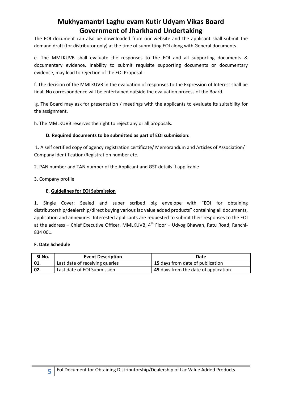The EOI document can also be downloaded from our website and the applicant shall submit the demand draft (for distributor only) at the time of submitting EOI along with General documents.

e. The MMLKUVB shall evaluate the responses to the EOI and all supporting documents & documentary evidence. Inability to submit requisite supporting documents or documentary evidence, may lead to rejection of the EOI Proposal.

f. The decision of the MMLKUVB in the evaluation of responses to the Expression of Interest shall be final. No correspondence will be entertained outside the evaluation process of the Board.

g. The Board may ask for presentation / meetings with the applicants to evaluate its suitability for the assignment.

h. The MMLKUVB reserves the right to reject any or all proposals.

#### **D. Required documents to be submitted as part of EOI submission:**

1. A self certified copy of agency registration certificate/ Memorandum and Articles of Association/ Company Identification/Registration number etc.

2. PAN number and TAN number of the Applicant and GST details if applicable

3. Company profile

#### **E. Guidelines for EOI Submission**

1. Single Cover: Sealed and super scribed big envelope with "EOI for obtaining distributorship/dealership/direct buying various lac value added products" containing all documents, application and annexures. Interested applicants are requested to submit their responses to the EOI at the address – Chief Executive Officer, MMLKUVB,  $4<sup>th</sup>$  Floor – Udyog Bhawan, Ratu Road, Ranchi-834 001.

#### **F. Date Schedule**

| Sl.No. | <b>Event Description</b>       | Date                                 |
|--------|--------------------------------|--------------------------------------|
| 01.    | Last date of receiving queries | 15 days from date of publication     |
| 02.    | Last date of EOI Submission    | 45 days from the date of application |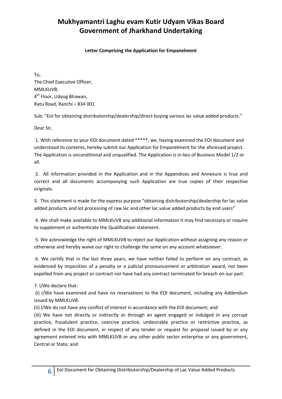#### **Letter Comprising the Application for Empanelment**

To, The Chief Executive Officer, MMLKUVB, 4<sup>th</sup> Floor, Udyog Bhawan, Ratu Road, Ranchi – 834 001

Sub: "EoI for obtaining distributorship/dealership/direct buying various lac value added products."

Dear Sir,

1. With reference to your EOI document dated \*\*\*\*\*, we, having examined the EOI document and understood its contents, hereby submit our Application for Empanelment for the aforesaid project. The Application is unconditional and unqualified. The Application is in lieu of Business Model 1/2 or all.

2. All information provided in the Application and in the Appendices and Annexure is true and correct and all documents accompanying such Application are true copies of their respective originals.

3. This statement is made for the express purpose "obtaining distributorship/dealership for lac value added products and lot processing of raw lac and other lac value added products by end users"

4. We shall make available to MMLKUVB any additional information it may find necessary or require to supplement or authenticate the Qualification statement.

5. We acknowledge the right of MMLKUVB to reject our Application without assigning any reason or otherwise and hereby waive our right to challenge the same on any account whatsoever.

6. We certify that in the last three years, we have neither failed to perform on any contract, as evidenced by imposition of a penalty or a judicial pronouncement or arbitration award, nor been expelled from any project or contract nor have had any contract terminated for breach on our part.

7. I/We declare that:

(i) I/We have examined and have no reservations to the EOI document, including any Addendum issued by MMLKUVB.

(ii) I/We do not have any conflict of interest in accordance with the EOI document; and

(iii) We have not directly or indirectly or through an agent engaged or indulged in any corrupt practice, fraudulent practice, coercive practice, undesirable practice or restrictive practice, as defined in the EOI document, in respect of any tender or request for proposal issued by or any agreement entered into with MMLKUVB or any other public sector enterprise or any government, Central or State; and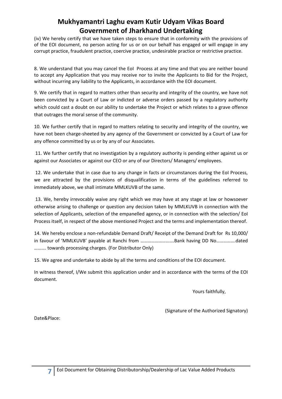(iv) We hereby certify that we have taken steps to ensure that in conformity with the provisions of of the EOI document, no person acting for us or on our behalf has engaged or will engage in any corrupt practice, fraudulent practice, coercive practice, undesirable practice or restrictive practice.

8. We understand that you may cancel the EoI Process at any time and that you are neither bound to accept any Application that you may receive nor to invite the Applicants to Bid for the Project, without incurring any liability to the Applicants, in accordance with the EOI document.

9. We certify that in regard to matters other than security and integrity of the country, we have not been convicted by a Court of Law or indicted or adverse orders passed by a regulatory authority which could cast a doubt on our ability to undertake the Project or which relates to a grave offence that outrages the moral sense of the community.

10. We further certify that in regard to matters relating to security and integrity of the country, we have not been charge-sheeted by any agency of the Government or convicted by a Court of Law for any offence committed by us or by any of our Associates.

11. We further certify that no investigation by a regulatory authority is pending either against us or against our Associates or against our CEO or any of our Directors/ Managers/ employees.

12. We undertake that in case due to any change in facts or circumstances during the EoI Process, we are attracted by the provisions of disqualification in terms of the guidelines referred to immediately above, we shall intimate MMLKUVB of the same.

13. We, hereby irrevocably waive any right which we may have at any stage at law or howsoever otherwise arising to challenge or question any decision taken by MMLKUVB in connection with the selection of Applicants, selection of the empanelled agency, or in connection with the selection/ EoI Process itself, in respect of the above mentioned Project and the terms and implementation thereof.

14. We hereby enclose a non-refundable Demand Draft/ Receipt of the Demand Draft for Rs 10,000/ in favour of 'MMLKUVB' payable at Ranchi from ……………………….Bank having DD No…………….dated ………. towards processing charges. (For Distributor Only)

15. We agree and undertake to abide by all the terms and conditions of the EOI document.

In witness thereof, I/We submit this application under and in accordance with the terms of the EOI document.

Yours faithfully,

(Signature of the Authorized Signatory)

Date&Place:

**7**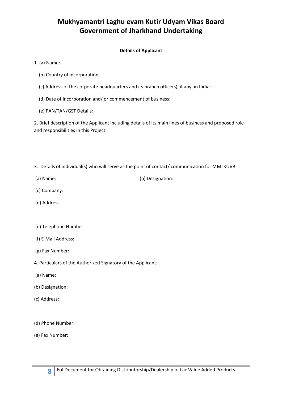#### **Details of Applicant**

- 1. (a) Name:
	- (b) Country of incorporation:
	- (c) Address of the corporate headquarters and its branch office(s), if any, in India:
	- (d) Date of incorporation and/ or commencement of business:
	- (e) PAN/TAN/GST Details:

2. Brief description of the Applicant including details of its main lines of business and proposed role and responsibilities in this Project:

- 3. Details of individual(s) who will serve as the point of contact/ communication for MMLKUVB:
- 

(a) Name: (b) Designation:

- (c) Company:
- (d) Address:
- (e) Telephone Number:
- (f) E-Mail Address:
- (g) Fax Number:
- 4. Particulars of the Authorized Signatory of the Applicant:
- (a) Name:
- (b) Designation:
- (c) Address:
- (d) Phone Number:
- (e) Fax Number: